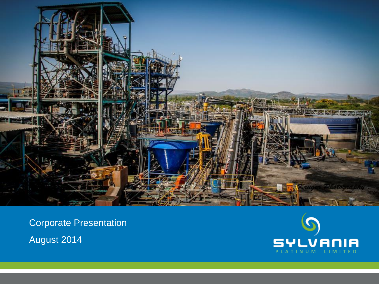

Corporate Presentation August 2014

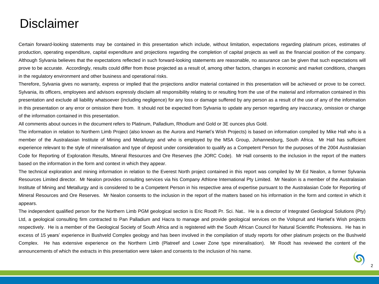### **Disclaimer**

Certain forward-looking statements may be contained in this presentation which include, without limitation, expectations regarding platinum prices, estimates of production, operating expenditure, capital expenditure and projections regarding the completion of capital projects as well as the financial position of the company. Although Sylvania believes that the expectations reflected in such forward-looking statements are reasonable, no assurance can be given that such expectations will prove to be accurate. Accordingly, results could differ from those projected as a result of, among other factors, changes in economic and market conditions, changes in the regulatory environment and other business and operational risks.

Therefore, Sylvania gives no warranty, express or implied that the projections and/or material contained in this presentation will be achieved or prove to be correct. Sylvania, its officers, employees and advisors expressly disclaim all responsibility relating to or resulting from the use of the material and information contained in this presentation and exclude all liability whatsoever (including negligence) for any loss or damage suffered by any person as a result of the use of any of the information in this presentation or any error or omission there from. It should not be expected from Sylvania to update any person regarding any inaccuracy, omission or change of the information contained in this presentation.

All comments about ounces in the document refers to Platinum, Palladium, Rhodium and Gold or 3E ounces plus Gold.

The information in relation to Northern Limb Project (also known as the Aurora and Harriet's Wish Projects) is based on information compiled by Mike Hall who is a member of the Australasian Institute of Mining and Metallurgy and who is employed by the MSA Group, Johannesburg, South Africa. Mr Hall has sufficient experience relevant to the style of mineralisation and type of deposit under consideration to qualify as a Competent Person for the purposes of the 2004 Australasian Code for Reporting of Exploration Results, Mineral Resources and Ore Reserves (the JORC Code). Mr Hall consents to the inclusion in the report of the matters based on the information in the form and context in which they appear.

The technical exploration and mining information in relation to the Everest North project contained in this report was compiled by Mr Ed Nealon, a former Sylvania Resources Limited director. Mr Nealon provides consulting services via his Company Athlone International Pty Limited. Mr Nealon is a member of the Australasian Institute of Mining and Metallurgy and is considered to be a Competent Person in his respective area of expertise pursuant to the Australasian Code for Reporting of Mineral Resources and Ore Reserves. Mr Nealon consents to the inclusion in the report of the matters based on his information in the form and context in which it appears.

The independent qualified person for the Northern Limb PGM geological section is Eric Roodt Pr. Sci. Nat.. He is a director of Integrated Geological Solutions (Pty) Ltd, a geological consulting firm contracted to Pan Palladium and Hacra to manage and provide geological services on the Volspruit and Harriet's Wish projects respectively. He is a member of the Geological Society of South Africa and is registered with the South African Council for Natural Scientific Professions. He has in excess of 15 years' experience in Bushveld Complex geology and has been involved in the compilation of study reports for other platinum projects on the Bushveld Complex. He has extensive experience on the Northern Limb (Platreef and Lower Zone type mineralisation). Mr Roodt has reviewed the content of the announcements of which the extracts in this presentation were taken and consents to the inclusion of his name.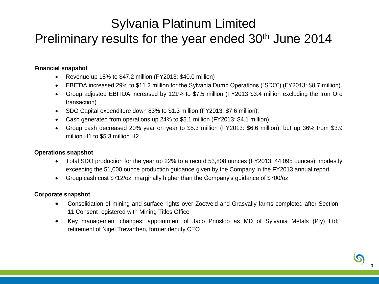# Sylvania Platinum Limited

### Preliminary results for the year ended 30<sup>th</sup> June 2014

### **Financial snapshot**

- Revenue up 18% to \$47.2 million (FY2013: \$40.0 million)
- EBITDA increased 29% to \$11.2 million for the Sylvania Dump Operations ("SDO") (FY2013: \$8.7 million)
- Group adjusted EBITDA increased by 121% to \$7.5 million (FY2013 \$3.4 million excluding the Iron Ore transaction)
- SDO Capital expenditure down 83% to \$1.3 million (FY2013: \$7.6 million);
- Cash generated from operations up 24% to \$5.1 million (FY2013: \$4.1 million)
- Group cash decreased 20% year on year to \$5.3 million (FY2013: \$6.6 million); but up 36% from \$3.9 million H1 to \$5.3 million H2

### **Operations snapshot**

- Total SDO production for the year up 22% to a record 53,808 ounces (FY2013: 44,095 ounces), modestly exceeding the 51,000 ounce production guidance given by the Company in the FY2013 annual report
- Group cash cost \$712/oz, marginally higher than the Company's guidance of \$700/oz

### **Corporate snapshot**

- Consolidation of mining and surface rights over Zoetveld and Grasvally farms completed after Section 11 Consent registered with Mining Titles Office
- Key management changes: appointment of Jaco Prinsloo as MD of Sylvania Metals (Pty) Ltd; retirement of Nigel Trevarthen, former deputy CEO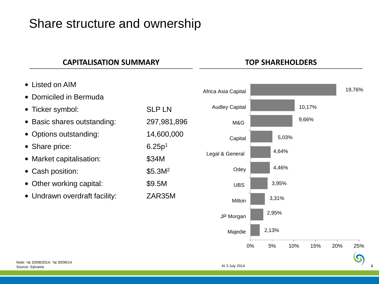### Share structure and ownership

### **CAPITALISATION SUMMARY TOP SHAREHOLDERS**

- Listed on AIM
- Domiciled in Bermuda
- Ticker symbol: SLP LN
- Basic shares outstanding: 297,981,896
- Options outstanding: 14,600,000
- Share price: 6.25p<sup>1</sup>
- Market capitalisation: \$34M
- Cash position: \$5.3M2
- Other working capital: \$9.5M
- Undrawn overdraft facility: **ZAR35M**

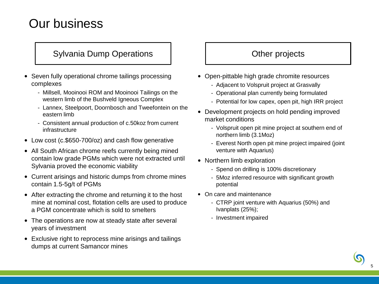### Our business

### Sylvania Dump Operations Other projects

- Seven fully operational chrome tailings processing complexes
	- Millsell, Mooinooi ROM and Mooinooi Tailings on the western limb of the Bushveld Igneous Complex
	- Lannex, Steelpoort, Doornbosch and Tweefontein on the eastern limb
	- Consistent annual production of c.50koz from current infrastructure
- Low cost (c.\$650-700/oz) and cash flow generative
- All South African chrome reefs currently being mined contain low grade PGMs which were not extracted until Sylvania proved the economic viability
- Current arisings and historic dumps from chrome mines contain 1.5-5g/t of PGMs
- After extracting the chrome and returning it to the host mine at nominal cost, flotation cells are used to produce a PGM concentrate which is sold to smelters
- The operations are now at steady state after several years of investment
- Exclusive right to reprocess mine arisings and tailings dumps at current Samancor mines

- Open-pittable high grade chromite resources
	- Adjacent to Volspruit project at Grasvally
	- Operational plan currently being formulated
	- Potential for low capex, open pit, high IRR project
- Development projects on hold pending improved market conditions
	- Volspruit open pit mine project at southern end of northern limb (3.1Moz)
	- Everest North open pit mine project impaired (joint venture with Aquarius)
- Northern limb exploration
	- Spend on drilling is 100% discretionary
	- 5Moz inferred resource with significant growth potential
- On care and maintenance
	- CTRP joint venture with Aquarius (50%) and Ivanplats (25%);
	- Investment impaired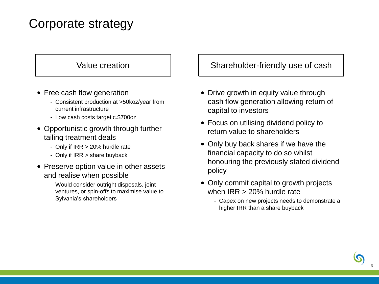### Corporate strategy

- Free cash flow generation
	- Consistent production at >50koz/year from current infrastructure
	- Low cash costs target c.\$700oz
- Opportunistic growth through further tailing treatment deals
	- Only if IRR > 20% hurdle rate
	- Only if IRR > share buyback
- Preserve option value in other assets and realise when possible
	- Would consider outright disposals, joint ventures, or spin-offs to maximise value to Sylvania's shareholders

### Value creation  $\vert$  | Shareholder-friendly use of cash

- Drive growth in equity value through cash flow generation allowing return of capital to investors
- Focus on utilising dividend policy to return value to shareholders
- Only buy back shares if we have the financial capacity to do so whilst honouring the previously stated dividend policy
- Only commit capital to growth projects when IRR > 20% hurdle rate
	- Capex on new projects needs to demonstrate a higher IRR than a share buyback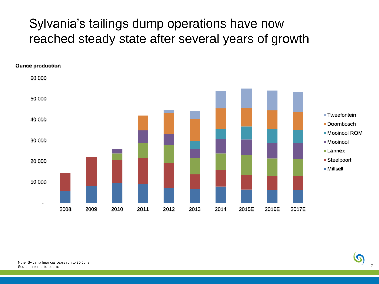# Sylvania's tailings dump operations have now reached steady state after several years of growth

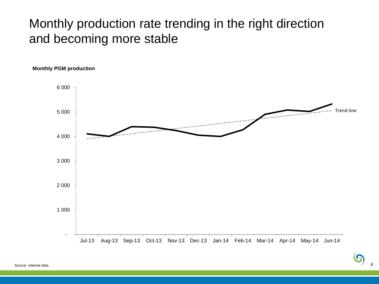## Monthly production rate trending in the right direction and becoming more stable

**Monthly PGM production**

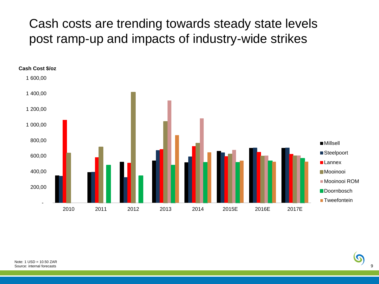Cash costs are trending towards steady state levels post ramp-up and impacts of industry-wide strikes

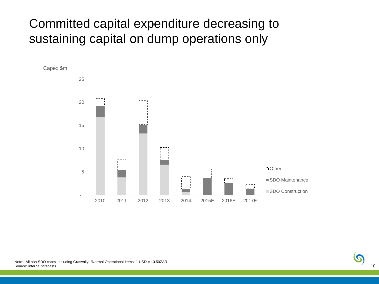### Committed capital expenditure decreasing to sustaining capital on dump operations only



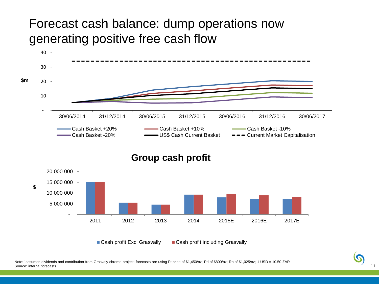### Forecast cash balance: dump operations now generating positive free cash flow



**Group cash profit**



■ Cash profit Excl Grasvally ■ Cash profit including Grasvally

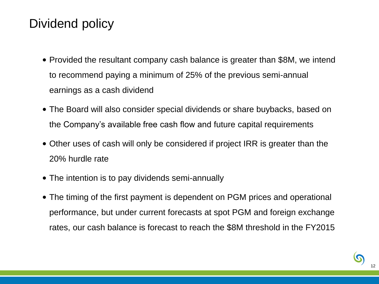# Dividend policy

- Provided the resultant company cash balance is greater than \$8M, we intend to recommend paying a minimum of 25% of the previous semi-annual earnings as a cash dividend
- The Board will also consider special dividends or share buybacks, based on the Company's available free cash flow and future capital requirements
- Other uses of cash will only be considered if project IRR is greater than the 20% hurdle rate
- The intention is to pay dividends semi-annually
- The timing of the first payment is dependent on PGM prices and operational performance, but under current forecasts at spot PGM and foreign exchange rates, our cash balance is forecast to reach the \$8M threshold in the FY2015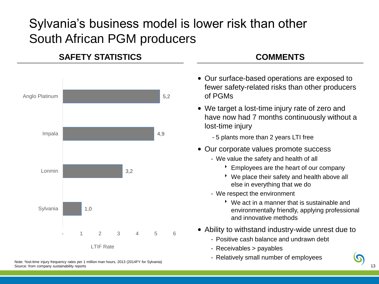# Sylvania's business model is lower risk than other South African PGM producers

### **SAFETY STATISTICS COMMENTS**



Note: 1lost-time injury frequency rates per 1 million man hours, 2013 (2014FY for Sylvania) Source: from company sustainability reports

- Our surface-based operations are exposed to fewer safety-related risks than other producers of PGMs
- We target a lost-time injury rate of zero and have now had 7 months continuously without a lost-time injury
	- 5 plants more than 2 years LTI free
- Our corporate values promote success
	- We value the safety and health of all
		- Employees are the heart of our company
		- We place their safety and health above all else in everything that we do
	- We respect the environment
		- We act in a manner that is sustainable and environmentally friendly, applying professional and innovative methods
- Ability to withstand industry-wide unrest due to
	- Positive cash balance and undrawn debt
	- Receivables > payables
	- Relatively small number of employees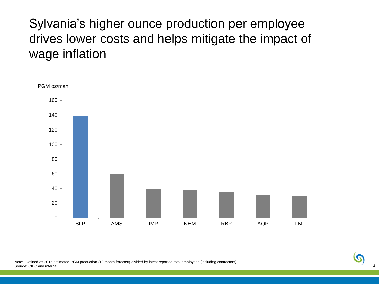# Sylvania's higher ounce production per employee drives lower costs and helps mitigate the impact of wage inflation



Note: 1Defined as 2015 estimated PGM production (13 month forecast) divided by latest reported total employees (including contractors) Source: CIBC and internal 2008 of the state of the state of the state of the state of the state of the state of the state of the state of the state of the state of the state of the state of the state of the state of the st

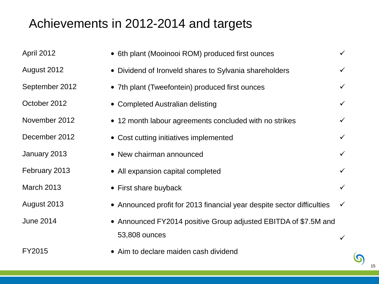# Achievements in 2012-2014 and targets

| April 2012        | • 6th plant (Mooinooi ROM) produced first ounces                       | $\checkmark$ |
|-------------------|------------------------------------------------------------------------|--------------|
| August 2012       | • Dividend of Ironveld shares to Sylvania shareholders                 | $\checkmark$ |
| September 2012    | • 7th plant (Tweefontein) produced first ounces                        | $\checkmark$ |
| October 2012      | • Completed Australian delisting                                       | $\checkmark$ |
| November 2012     | • 12 month labour agreements concluded with no strikes                 | $\checkmark$ |
| December 2012     | • Cost cutting initiatives implemented                                 | $\checkmark$ |
| January 2013      | • New chairman announced                                               | $\checkmark$ |
| February 2013     | • All expansion capital completed                                      | $\checkmark$ |
| <b>March 2013</b> | • First share buyback                                                  | $\checkmark$ |
| August 2013       | • Announced profit for 2013 financial year despite sector difficulties | $\checkmark$ |
| <b>June 2014</b>  | • Announced FY2014 positive Group adjusted EBITDA of \$7.5M and        |              |
|                   | 53,808 ounces                                                          |              |
| FY2015            | • Aim to declare maiden cash dividend                                  |              |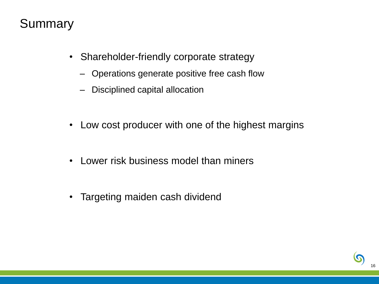# **Summary**

- Shareholder-friendly corporate strategy
	- Operations generate positive free cash flow
	- Disciplined capital allocation
- Low cost producer with one of the highest margins
- Lower risk business model than miners
- Targeting maiden cash dividend

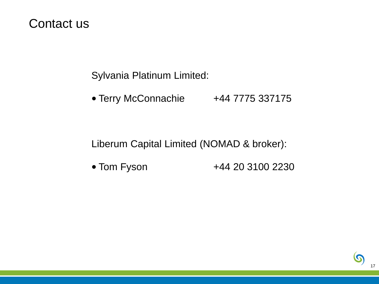### Contact us

Sylvania Platinum Limited:

• Terry McConnachie +44 7775 337175

Liberum Capital Limited (NOMAD & broker):

• Tom Fyson +44 20 3100 2230